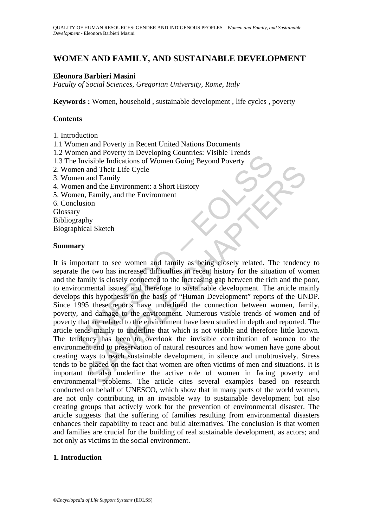# **WOMEN AND FAMILY, AND SUSTAINABLE DEVELOPMENT**

## **Eleonora Barbieri Masini**

*Faculty of Social Sciences, Gregorian University, Rome, Italy* 

**Keywords :** Women, household , sustainable development , life cycles , poverty

### **Contents**

- 1. Introduction
- 1.1 Women and Poverty in Recent United Nations Documents
- 1.2 Women and Poverty in Developing Countries: Visible Trends
- 1.3 The Invisible Indications of Women Going Beyond Poverty
- 2. Women and Their Life Cycle
- 3. Women and Family
- 4. Women and the Environment: a Short History
- 5. Women, Family, and the Environment
- 6. Conclusion

Glossary

Bibliography

Biographical Sketch

#### **Summary**

The and Toterly in *Developing* Countries. Visiod Flending<br>
Invisible Indications of Women Going Beyond Poverty<br>
en and Their Life Cycle<br>
en and Their Life Cycle<br>
en and Their Life Cycle<br>
en and Family, and the Environment and Their Life Cycle<br>and Family, and the Environment: a Short History<br>Family, and the Environment<br>Family, and the Environment<br>ion<br>simply and Sketch<br>trant to see women and family as being closely related. The tendence<br>two h It is important to see women and family as being closely related. The tendency to separate the two has increased difficulties in recent history for the situation of women and the family is closely connected to the increasing gap between the rich and the poor, to environmental issues, and therefore to sustainable development. The article mainly develops this hypothesis on the basis of "Human Development" reports of the UNDP. Since 1995 these reports have underlined the connection between women, family, poverty, and damage to the environment. Numerous visible trends of women and of poverty that are related to the environment have been studied in depth and reported. The article tends mainly to underline that which is not visible and therefore little known. The tendency has been to overlook the invisible contribution of women to the environment and to preservation of natural resources and how women have gone about creating ways to reach sustainable development, in silence and unobtrusively. Stress tends to be placed on the fact that women are often victims of men and situations. It is important to also underline the active role of women in facing poverty and environmental problems. The article cites several examples based on research conducted on behalf of UNESCO, which show that in many parts of the world women, are not only contributing in an invisible way to sustainable development but also creating groups that actively work for the prevention of environmental disaster. The article suggests that the suffering of families resulting from environmental disasters enhances their capability to react and build alternatives. The conclusion is that women and families are crucial for the building of real sustainable development, as actors; and not only as victims in the social environment.

## **1. Introduction**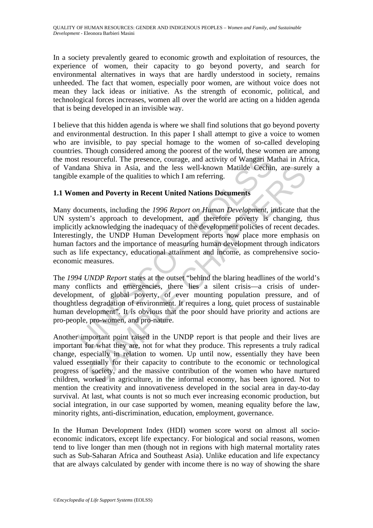In a society prevalently geared to economic growth and exploitation of resources, the experience of women, their capacity to go beyond poverty, and search for environmental alternatives in ways that are hardly understood in society, remains unheeded. The fact that women, especially poor women, are without voice does not mean they lack ideas or initiative. As the strength of economic, political, and technological forces increases, women all over the world are acting on a hidden agenda that is being developed in an invisible way.

I believe that this hidden agenda is where we shall find solutions that go beyond poverty and environmental destruction. In this paper I shall attempt to give a voice to women who are invisible, to pay special homage to the women of so-called developing countries. Though considered among the poorest of the world, these women are among the most resourceful. The presence, courage, and activity of Wangari Mathai in Africa, of Vandana Shiva in Asia, and the less well-known Matilde Cechin, are surely a tangible example of the qualities to which I am referring.

## **1.1 Women and Poverty in Recent United Nations Documents**

is the university of Wangari Middana Shiva in Asia, and the less well-known Matilde Cechin<br>dana Shiva in Asia, and the less well-known Matilde Cechin<br>example of the qualities to which I am referring.<br>men and Poverty in Rec a Shiva in Asia, and the less well-known Matilde Cechin, are sure<br>ample of the qualities to which I am referring.<br> **n and Poverty in Recent United Nations Documents**<br>
mements, including the 1996 Report on Human Development Many documents, including the *1996 Report on Human Development*, indicate that the UN system's approach to development, and therefore poverty is changing, thus implicitly acknowledging the inadequacy of the development policies of recent decades. Interestingly, the UNDP Human Development reports now place more emphasis on human factors and the importance of measuring human development through indicators such as life expectancy, educational attainment and income, as comprehensive socioeconomic measures.

The *1994 UNDP Report* states at the outset "behind the blaring headlines of the world's many conflicts and emergencies, there lies a silent crisis—a crisis of underdevelopment, of global poverty, of ever mounting population pressure, and of thoughtless degradation of environment. It requires a long, quiet process of sustainable human development". It is obvious that the poor should have priority and actions are pro-people, pro-women, and pro-nature.

Another important point raised in the UNDP report is that people and their lives are important for what they are, not for what they produce. This represents a truly radical change, especially in relation to women. Up until now, essentially they have been valued essentially for their capacity to contribute to the economic or technological progress of society, and the massive contribution of the women who have nurtured children, worked in agriculture, in the informal economy, has been ignored. Not to mention the creativity and innovativeness developed in the social area in day-to-day survival. At last, what counts is not so much ever increasing economic production, but social integration, in our case supported by women, meaning equality before the law, minority rights, anti-discrimination, education, employment, governance.

In the Human Development Index (HDI) women score worst on almost all socioeconomic indicators, except life expectancy. For biological and social reasons, women tend to live longer than men (though not in regions with high maternal mortality rates such as Sub-Saharan Africa and Southeast Asia). Unlike education and life expectancy that are always calculated by gender with income there is no way of showing the share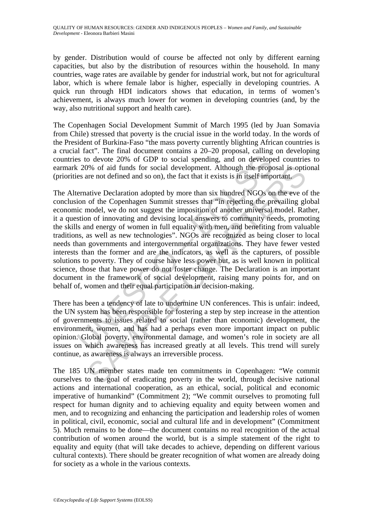by gender. Distribution would of course be affected not only by different earning capacities, but also by the distribution of resources within the household. In many countries, wage rates are available by gender for industrial work, but not for agricultural labor, which is where female labor is higher, especially in developing countries. A quick run through HDI indicators shows that education, in terms of women's achievement, is always much lower for women in developing countries (and, by the way, also nutritional support and health care).

The Copenhagen Social Development Summit of March 1995 (led by Juan Somavia from Chile) stressed that poverty is the crucial issue in the world today. In the words of the President of Burkina-Faso "the mass poverty currently blighting African countries is a crucial fact". The final document contains a 20–20 proposal, calling on developing countries to devote 20% of GDP to social spending, and on developed countries to earmark 20% of aid funds for social development. Although the proposal is optional (priorities are not defined and so on), the fact that it exists is in itself important.

is to devote 20% of GDP to social spending, and on develope<br>c 20% of GDP to social spending, and on develope<br>c 20% of aid funds for social development. Although the prope<br>cs are not defined and so on), the fact that it exi 9% of aid funds for social development. Although the proposal is optive and so on), the fact that it exists is in itself important.<br>
ative Declaration adopted by more than six hundred NGOs on the eve of the Copenhagen Summ The Alternative Declaration adopted by more than six hundred NGOs on the eve of the conclusion of the Copenhagen Summit stresses that "in rejecting the prevailing global economic model, we do not suggest the imposition of another universal model. Rather, it a question of innovating and devising local answers to community needs, promoting the skills and energy of women in full equality with men, and benefiting from valuable traditions, as well as new technologies". NGOs are recognized as being closer to local needs than governments and intergovernmental organizations. They have fewer vested interests than the former and are the indicators, as well as the capturers, of possible solutions to poverty. They of course have less power but, as is well known in political science, those that have power do not foster change. The Declaration is an important document in the framework of social development, raising many points for, and on behalf of, women and their equal participation in decision-making.

There has been a tendency of late to undermine UN conferences. This is unfair: indeed, the UN system has been responsible for fostering a step by step increase in the attention of governments to issues related to social (rather than economic) development, the environment, women, and has had a perhaps even more important impact on public opinion. Global poverty, environmental damage, and women's role in society are all issues on which awareness has increased greatly at all levels. This trend will surely continue, as awareness is always an irreversible process.

The 185 UN member states made ten commitments in Copenhagen: "We commit ourselves to the goal of eradicating poverty in the world, through decisive national actions and international cooperation, as an ethical, social, political and economic imperative of humankind" (Commitment 2); "We commit ourselves to promoting full respect for human dignity and to achieving equality and equity between women and men, and to recognizing and enhancing the participation and leadership roles of women in political, civil, economic, social and cultural life and in development" (Commitment 5). Much remains to be done—the document contains no real recognition of the actual contribution of women around the world, but is a simple statement of the right to equality and equity (that will take decades to achieve, depending on different various cultural contexts). There should be greater recognition of what women are already doing for society as a whole in the various contexts.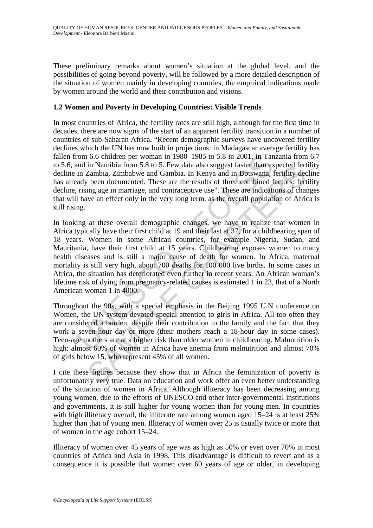These preliminary remarks about women's situation at the global level, and the possibilities of going beyond poverty, will be followed by a more detailed description of the situation of women mainly in developing countries, the empirical indications made by women around the world and their contribution and visions.

## **1.2 Women and Poverty in Developing Countries: Visible Trends**

In most countries of Africa, the fertility rates are still high, although for the first time in decades, there are now signs of the start of an apparent fertility transition in a number of countries of sub-Saharan Africa. "Recent demographic surveys have uncovered fertility declines which the UN has now built in projections: in Madagascar average fertility has fallen from 6.6 children per woman in 1980–1985 to 5.8 in 2001, in Tanzania from 6.7 to 5.6, and in Namibia from 5.8 to 5. Few data also suggest faster than expected fertility decline in Zambia, Zimbabwe and Gambia. In Kenya and in Botswana, fertility decline has already been documented. These are the results of three combined factors: fertility decline, rising age in marriage, and contraceptive use". These are indications of changes that will have an effect only in the very long term, as the overall population of Africa is still rising.

rom 6.6 children per woman in 1980–1985 to 5.8 in 2001, in Tan<br>nd in Namibia from 5.8 to 5. Few data also suggest faster than ex<br>in Zambia, Zimbabwe and Gambia. In Kenya and in Botswana,<br>ady been documented. These are the In Namibia from 5.8 to 5. Few data also suggest faster than expected tert<br>
Zambia, Zimbabwe and Gambia. In Kenya and in Botswana, fertility dec<br>
Zambia, Zimbabwe and Gambia. In Kenya and in Botswana, fertility dec<br>
the bee In looking at these overall demographic changes, we have to realize that women in Africa typically have their first child at 19 and their last at 37, for a childbearing span of 18 years. Women in some African countries, for example Nigeria, Sudan, and Mauritania, have their first child at 15 years. Childbearing exposes women to many health diseases and is still a major cause of death for women. In Africa, maternal mortality is still very high, about 700 deaths for 100 000 live births. In some cases in Africa, the situation has deteriorated even further in recent years. An African woman's lifetime risk of dying from pregnancy-related causes is estimated 1 in 23, that of a North American woman 1 in 4000.

Throughout the 90s, with a special emphasis in the Beijing 1995 U.N conference on Women, the UN system devoted special attention to girls in Africa. All too often they are considered a burden, despite their contribution to the family and the fact that they work a seven-hour day or more (their mothers reach a 18-hour day in some cases). Teen-age mothers are at a higher risk than older women in childbearing. Malnutrition is high: almost 60% of women in Africa have anemia from malnutrition and almost 70% of girls below 15, who represent 45% of all women.

I cite these figures because they show that in Africa the feminization of poverty is unfortunately very true. Data on education and work offer an even better understanding of the situation of women in Africa. Although illiteracy has been decreasing among young women, due to the efforts of UNESCO and other inter-governmental institutions and governments, it is still higher for young women than for young men. In countries with high illiteracy overall, the illiterate rate among women aged 15–24 is at least 25% higher than that of young men. Illiteracy of women over 25 is usually twice or more that of women in the age cohort 15–24.

Illiteracy of women over 45 years of age was as high as 50% or even over 70% in most countries of Africa and Asia in 1998. This disadvantage is difficult to revert and as a consequence it is possible that women over 60 years of age or older, in developing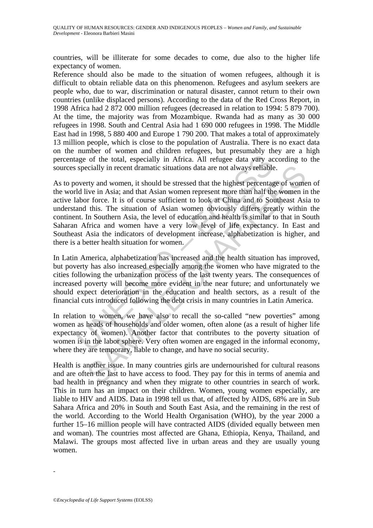countries, will be illiterate for some decades to come, due also to the higher life expectancy of women.

Reference should also be made to the situation of women refugees, although it is difficult to obtain reliable data on this phenomenon. Refugees and asylum seekers are people who, due to war, discrimination or natural disaster, cannot return to their own countries (unlike displaced persons). According to the data of the Red Cross Report, in 1998 Africa had 2 872 000 million refugees (decreased in relation to 1994: 5 879 700). At the time, the majority was from Mozambique. Rwanda had as many as 30 000 refugees in 1998. South and Central Asia had 1 690 000 refugees in 1998. The Middle East had in 1998, 5 880 400 and Europe 1 790 200. That makes a total of approximately 13 million people, which is close to the population of Australia. There is no exact data on the number of women and children refugees, but presumably they are a high percentage of the total, especially in Africa. All refugee data vary according to the sources specially in recent dramatic situations data are not always reliable.

age of the total, especially in Africa. All refugee data vary ac<br>specially in recent dramatic situations data are not always reliable<br>overty and women, it should be stressed that the highest percentage<br>overty and women, it cially in recent dramatic situations data are not always reliable.<br>
rty and women, it should be stressed that the highest percentage of wome<br>
ive in Asia; and that Asian women represent more than half the women ir<br>
rtorce. As to poverty and women, it should be stressed that the highest percentage of women of the world live in Asia; and that Asian women represent more than half the women in the active labor force. It is of course sufficient to look at China and to Southeast Asia to understand this. The situation of Asian women obviously differs greatly within the continent. In Southern Asia, the level of education and health is similar to that in South Saharan Africa and women have a very low level of life expectancy. In East and Southeast Asia the indicators of development increase, alphabetization is higher, and there is a better health situation for women.

In Latin America, alphabetization has increased and the health situation has improved, but poverty has also increased especially among the women who have migrated to the cities following the urbanization process of the last twenty years. The consequences of increased poverty will become more evident in the near future; and unfortunately we should expect deterioration in the education and health sectors, as a result of the financial cuts introduced following the debt crisis in many countries in Latin America.

In relation to women, we have also to recall the so-called "new poverties" among women as heads of households and older women, often alone (as a result of higher life expectancy of women). Another factor that contributes to the poverty situation of women is in the labor sphere. Very often women are engaged in the informal economy, where they are temporary, liable to change, and have no social security.

Health is another issue. In many countries girls are undernourished for cultural reasons and are often the last to have access to food. They pay for this in terms of anemia and bad health in pregnancy and when they migrate to other countries in search of work. This in turn has an impact on their children. Women, young women especially, are liable to HIV and AIDS. Data in 1998 tell us that, of affected by AIDS, 68% are in Sub Sahara Africa and 20% in South and South East Asia, and the remaining in the rest of the world. According to the World Health Organisation (WHO), by the year 2000 a further 15–16 million people will have contracted AIDS (divided equally between men and woman). The countries most affected are Ghana, Ethiopia, Kenya, Thailand, and Malawi. The groups most affected live in urban areas and they are usually young women.

-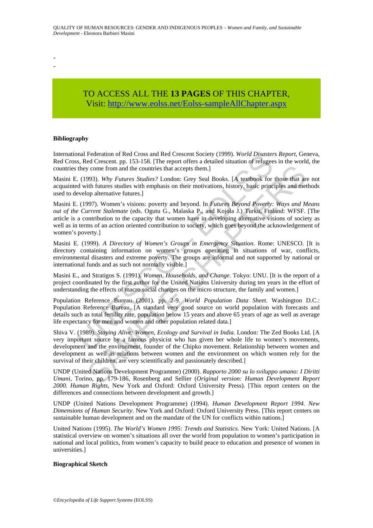- -

# TO ACCESS ALL THE **13 PAGES** OF THIS CHAPTER, Visi[t: http://www.eolss.net/Eolss-sampleAllChapter.aspx](https://www.eolss.net/ebooklib/sc_cart.aspx?File=E1-17-03-01)

#### **Bibliography**

International Federation of Red Cross and Red Crescent Society (1999). *World Disasters Report*, Geneva, Red Cross, Red Crescent. pp. 153-158. [The report offers a detailed situation of refugees in the world, the countries they come from and the countries that accepts them.]

Masini E. (1993). *Why Futures Studies?* London: Grey Seal Books. [A textbook for those that are not acquainted with futures studies with emphasis on their motivations, history, basic principles and methods used to develop alternative futures.]

mal Pederaton of Ned Cross and Red Cressent Society (1999). *World Disaster*<br>s, Red Cressent pp. 153-158. [The report offers a detailed situation of refugee<br>they come from and the countries that accepts them.]<br>. (1993). *W* y come from and the countries that accepts them.]<br>993). Why Futures Studies? London: Grey Seal Books. [A textbook for those that an<br>eith infutures studies with emphasis on their motivations, history, basic principles and m Masini E. (1997). Women's visions: poverty and beyond. In *Futures Beyond Poverty: Ways and Means out of the Current Stalemate* (eds. Ogutu G., Malaska P., and Kojola J.) Turku, Finland: WFSF. [The article is a contribution to the capacity that women have in developing alternative visions of society as well as in terms of an action oriented contribution to society, which goes beyond the acknowledgement of women's poverty.]

Masini E. (1999). *A Directory of Women's Groups in Emergency Situation*. Rome: UNESCO. [It is directory containing information on women's groups operating in situations of war, conflicts, environmental disasters and extreme poverty. The groups are informal and not supported by national or international funds and as such not normally visible.]

Masini E., and Stratigos S. (1991). *Women, Households, and Change*. Tokyo: UNU. [It is the report of a project coordinated by the first author for the United Nations University during ten years in the effort of understanding the effects of macro social changes on the micro structure, the family and women.]

Population Reference Bureau (2001). pp. 2-9. *World Population Data Sheet*. Washington D.C.: Population Reference Bureau. [A standard very good source on world population with forecasts and details such as total fertility rate, population below 15 years and above 65 years of age as well as average life expectancy for men and women and other population related data.]

Shiva V. (1989). *Staying Alive: Women, Ecology and Survival in India*. London: The Zed Books Ltd. [A very important source by a famous physicist who has given her whole life to women's movements, development and the environment, founder of the Chipko movement. Relationship between women and development as well as relations between women and the environment on which women rely for the survival of their children, are very scientifically and passionately described.]

UNDP (United Nations Development Programme) (2000). *Rapporto 2000 su lo sviluppo umano: I Diritti Umani*, Torino, pp. 179-186, Rosenberg and Sellier (*Original version: Human Development Report 2000. Human Rights*, New York and Oxford: Oxford University Press). [This report centers on the differences and connections between development and growth.]

UNDP (United Nations Development Programme) (1994). *Human Development Report 1994. New Dimensions of Human Security*. New York and Oxford: Oxford University Press. [This report centers on sustainable human development and on the mandate of the UN for conflicts within nations.]

United Nations (1995). *The World's Women 1995: Trends and Statistics*. New York: United Nations. [A statistical overview on women's situations all over the world from population to women's participation in national and local politics, from women's capacity to build peace to education and presence of women in universities.]

#### **Biographical Sketch**